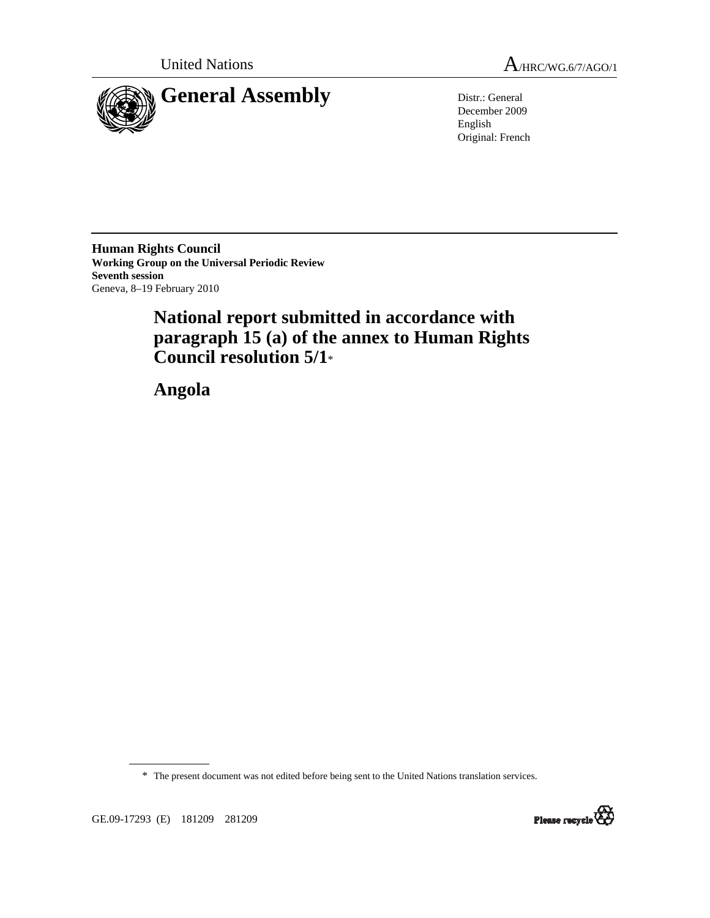



December 2009 English Original: French

**Human Rights Council Working Group on the Universal Periodic Review Seventh session**  Geneva, 8–19 February 2010

# **National report submitted in accordance with paragraph 15 (a) of the annex to Human Rights Council resolution 5/1**\*

 **Angola** 

\* The present document was not edited before being sent to the United Nations translation services.



GE.09-17293 (E) 181209 281209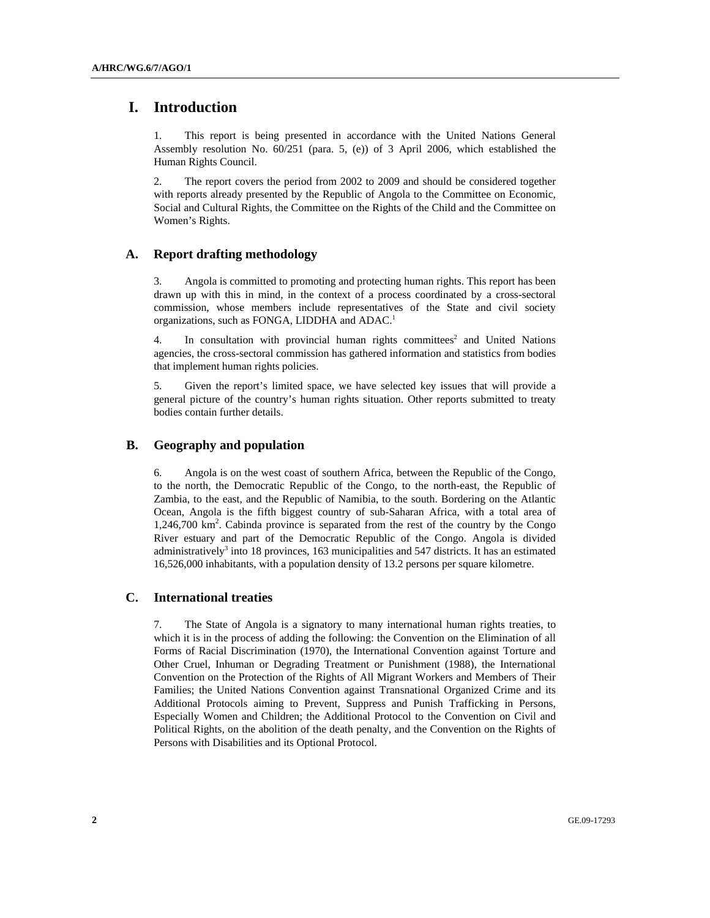# **I. Introduction**

1. This report is being presented in accordance with the United Nations General Assembly resolution No. 60/251 (para. 5, (e)) of 3 April 2006, which established the Human Rights Council.

2. The report covers the period from 2002 to 2009 and should be considered together with reports already presented by the Republic of Angola to the Committee on Economic, Social and Cultural Rights, the Committee on the Rights of the Child and the Committee on Women's Rights.

# **A. Report drafting methodology**

3. Angola is committed to promoting and protecting human rights. This report has been drawn up with this in mind, in the context of a process coordinated by a cross-sectoral commission, whose members include representatives of the State and civil society organizations, such as FONGA, LIDDHA and ADAC.<sup>1</sup>

4. In consultation with provincial human rights committees<sup>2</sup> and United Nations agencies, the cross-sectoral commission has gathered information and statistics from bodies that implement human rights policies.

5. Given the report's limited space, we have selected key issues that will provide a general picture of the country's human rights situation. Other reports submitted to treaty bodies contain further details.

# **B. Geography and population**

6. Angola is on the west coast of southern Africa, between the Republic of the Congo, to the north, the Democratic Republic of the Congo, to the north-east, the Republic of Zambia, to the east, and the Republic of Namibia, to the south. Bordering on the Atlantic Ocean, Angola is the fifth biggest country of sub-Saharan Africa, with a total area of 1,246,700 km<sup>2</sup>. Cabinda province is separated from the rest of the country by the Congo River estuary and part of the Democratic Republic of the Congo. Angola is divided administratively<sup>3</sup> into 18 provinces, 163 municipalities and 547 districts. It has an estimated 16,526,000 inhabitants, with a population density of 13.2 persons per square kilometre.

# **C. International treaties**

7. The State of Angola is a signatory to many international human rights treaties, to which it is in the process of adding the following: the Convention on the Elimination of all Forms of Racial Discrimination (1970), the International Convention against Torture and Other Cruel, Inhuman or Degrading Treatment or Punishment (1988), the International Convention on the Protection of the Rights of All Migrant Workers and Members of Their Families; the United Nations Convention against Transnational Organized Crime and its Additional Protocols aiming to Prevent, Suppress and Punish Trafficking in Persons, Especially Women and Children; the Additional Protocol to the Convention on Civil and Political Rights, on the abolition of the death penalty, and the Convention on the Rights of Persons with Disabilities and its Optional Protocol.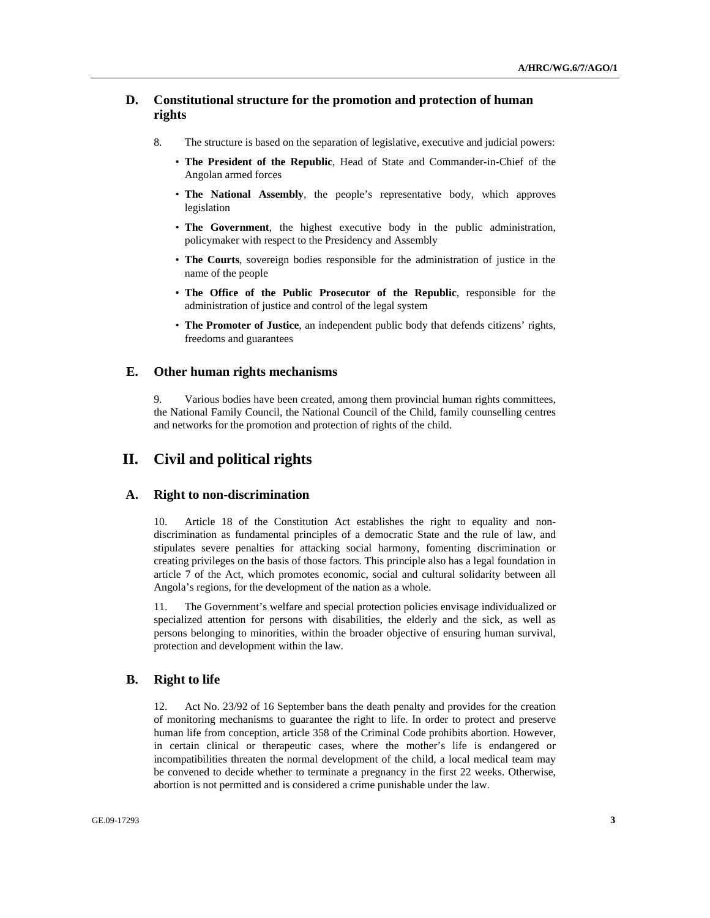# **D. Constitutional structure for the promotion and protection of human rights**

- 8. The structure is based on the separation of legislative, executive and judicial powers:
	- **The President of the Republic**, Head of State and Commander-in-Chief of the Angolan armed forces
	- **The National Assembly**, the people's representative body, which approves legislation
	- **The Government**, the highest executive body in the public administration, policymaker with respect to the Presidency and Assembly
	- **The Courts**, sovereign bodies responsible for the administration of justice in the name of the people
	- **The Office of the Public Prosecutor of the Republic**, responsible for the administration of justice and control of the legal system
	- **The Promoter of Justice**, an independent public body that defends citizens' rights, freedoms and guarantees

# **E. Other human rights mechanisms**

9. Various bodies have been created, among them provincial human rights committees, the National Family Council, the National Council of the Child, family counselling centres and networks for the promotion and protection of rights of the child.

# **II. Civil and political rights**

# **A. Right to non-discrimination**

10. Article 18 of the Constitution Act establishes the right to equality and nondiscrimination as fundamental principles of a democratic State and the rule of law, and stipulates severe penalties for attacking social harmony, fomenting discrimination or creating privileges on the basis of those factors. This principle also has a legal foundation in article 7 of the Act, which promotes economic, social and cultural solidarity between all Angola's regions, for the development of the nation as a whole.

11. The Government's welfare and special protection policies envisage individualized or specialized attention for persons with disabilities, the elderly and the sick, as well as persons belonging to minorities, within the broader objective of ensuring human survival, protection and development within the law.

# **B. Right to life**

12. Act No. 23/92 of 16 September bans the death penalty and provides for the creation of monitoring mechanisms to guarantee the right to life. In order to protect and preserve human life from conception, article 358 of the Criminal Code prohibits abortion. However, in certain clinical or therapeutic cases, where the mother's life is endangered or incompatibilities threaten the normal development of the child, a local medical team may be convened to decide whether to terminate a pregnancy in the first 22 weeks. Otherwise, abortion is not permitted and is considered a crime punishable under the law.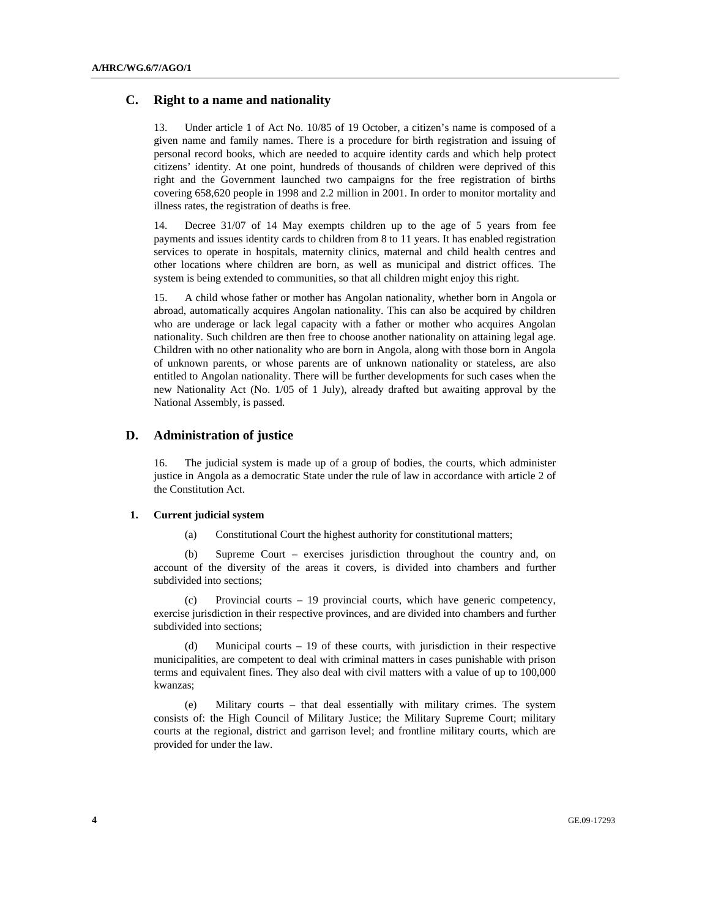# **C. Right to a name and nationality**

13. Under article 1 of Act No. 10/85 of 19 October, a citizen's name is composed of a given name and family names. There is a procedure for birth registration and issuing of personal record books, which are needed to acquire identity cards and which help protect citizens' identity. At one point, hundreds of thousands of children were deprived of this right and the Government launched two campaigns for the free registration of births covering 658,620 people in 1998 and 2.2 million in 2001. In order to monitor mortality and illness rates, the registration of deaths is free.

14. Decree 31/07 of 14 May exempts children up to the age of 5 years from fee payments and issues identity cards to children from 8 to 11 years. It has enabled registration services to operate in hospitals, maternity clinics, maternal and child health centres and other locations where children are born, as well as municipal and district offices. The system is being extended to communities, so that all children might enjoy this right.

15. A child whose father or mother has Angolan nationality, whether born in Angola or abroad, automatically acquires Angolan nationality. This can also be acquired by children who are underage or lack legal capacity with a father or mother who acquires Angolan nationality. Such children are then free to choose another nationality on attaining legal age. Children with no other nationality who are born in Angola, along with those born in Angola of unknown parents, or whose parents are of unknown nationality or stateless, are also entitled to Angolan nationality. There will be further developments for such cases when the new Nationality Act (No. 1/05 of 1 July), already drafted but awaiting approval by the National Assembly, is passed.

# **D. Administration of justice**

16. The judicial system is made up of a group of bodies, the courts, which administer justice in Angola as a democratic State under the rule of law in accordance with article 2 of the Constitution Act.

### **1. Current judicial system**

(a) Constitutional Court the highest authority for constitutional matters;

 (b) Supreme Court – exercises jurisdiction throughout the country and, on account of the diversity of the areas it covers, is divided into chambers and further subdivided into sections;

 (c) Provincial courts – 19 provincial courts, which have generic competency, exercise jurisdiction in their respective provinces, and are divided into chambers and further subdivided into sections;

 (d) Municipal courts – 19 of these courts, with jurisdiction in their respective municipalities, are competent to deal with criminal matters in cases punishable with prison terms and equivalent fines. They also deal with civil matters with a value of up to 100,000 kwanzas;

 (e) Military courts – that deal essentially with military crimes. The system consists of: the High Council of Military Justice; the Military Supreme Court; military courts at the regional, district and garrison level; and frontline military courts, which are provided for under the law.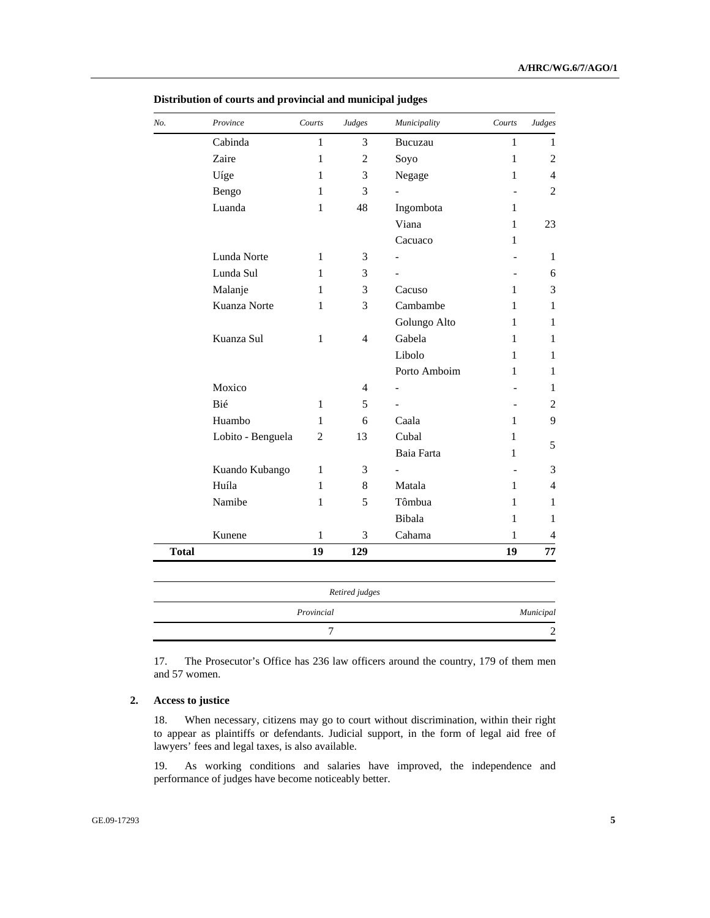| Province          | Courts       | Judges         | Municipality             | Courts         | Judges         |
|-------------------|--------------|----------------|--------------------------|----------------|----------------|
| Cabinda           | 1            | 3              | Bucuzau                  | 1              | 1              |
| Zaire             | $\mathbf{1}$ | $\overline{c}$ | Soyo                     | $\mathbf{1}$   | $\overline{2}$ |
| Uíge              | 1            | 3              | Negage                   | 1              | 4              |
| Bengo             | 1            | 3              | $\overline{\phantom{0}}$ | ٠              | $\overline{2}$ |
| Luanda            | $\mathbf{1}$ | 48             | Ingombota                | $\mathbf{1}$   |                |
|                   |              |                | Viana                    | 1              | 23             |
|                   |              |                | Cacuaco                  | 1              |                |
| Lunda Norte       | 1            | 3              | $\overline{\phantom{0}}$ | $\overline{a}$ | 1              |
| Lunda Sul         | 1            | 3              | $\overline{\phantom{0}}$ |                | 6              |
| Malanje           | 1            | 3              | Cacuso                   | $\mathbf{1}$   | 3              |
| Kuanza Norte      | 1            | 3              | Cambambe                 | 1              | 1              |
|                   |              |                | Golungo Alto             | 1              | 1              |
| Kuanza Sul        | 1            | $\overline{4}$ | Gabela                   | 1              | 1              |
|                   |              |                | Libolo                   | 1              | 1              |
|                   |              |                | Porto Amboim             | 1              | 1              |
| Moxico            |              | 4              |                          |                | 1              |
| Bié               | $\mathbf{1}$ | 5              |                          |                | 2              |
| Huambo            | 1            | 6              | Caala                    | 1              | 9              |
| Lobito - Benguela | 2            | 13             | Cubal                    | 1              | 5              |
|                   |              |                | Baia Farta               | 1              |                |
| Kuando Kubango    | 1            | 3              |                          |                | 3              |
| Huíla             | 1            | 8              | Matala                   | 1              | 4              |
| Namibe            | $\mathbf{1}$ | 5              | Tômbua                   | 1              | 1              |
|                   |              |                | Bibala                   | 1              | 1              |
| Kunene            | $\mathbf{1}$ | 3              | Cahama                   | 1              | 4              |
|                   | 19           | 129            |                          | 19             | 77             |

 **Distribution of courts and provincial and municipal judges** 

17. The Prosecutor's Office has 236 law officers around the country, 179 of them men and 57 women.

7 2

# **2. Access to justice**

18. When necessary, citizens may go to court without discrimination, within their right to appear as plaintiffs or defendants. Judicial support, in the form of legal aid free of lawyers' fees and legal taxes, is also available.

19. As working conditions and salaries have improved, the independence and performance of judges have become noticeably better.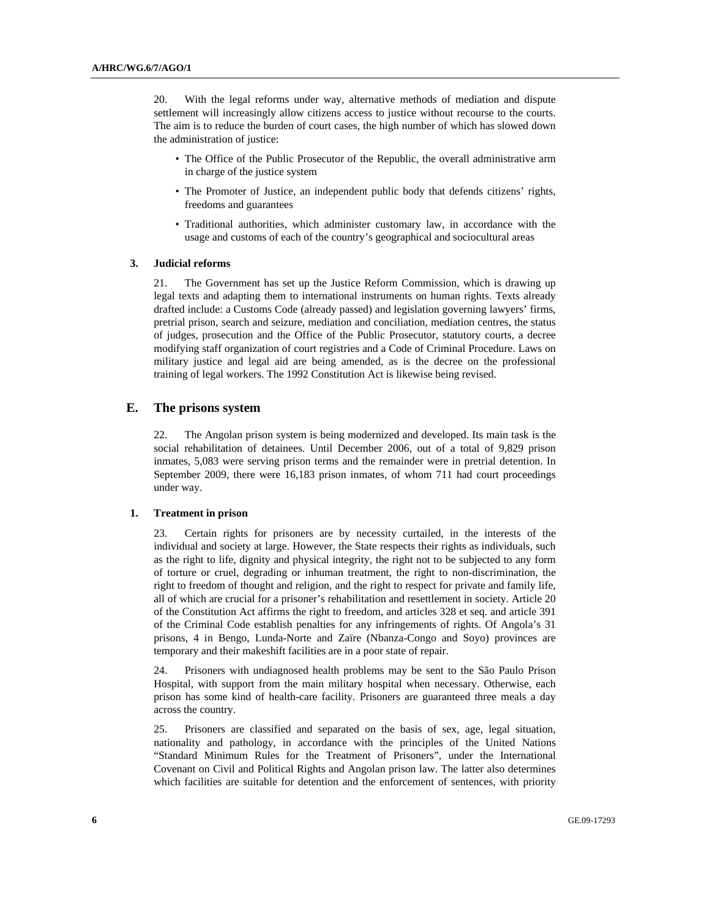20. With the legal reforms under way, alternative methods of mediation and dispute settlement will increasingly allow citizens access to justice without recourse to the courts. The aim is to reduce the burden of court cases, the high number of which has slowed down the administration of justice:

- The Office of the Public Prosecutor of the Republic, the overall administrative arm in charge of the justice system
- The Promoter of Justice, an independent public body that defends citizens' rights, freedoms and guarantees
- Traditional authorities, which administer customary law, in accordance with the usage and customs of each of the country's geographical and sociocultural areas

#### **3. Judicial reforms**

21. The Government has set up the Justice Reform Commission, which is drawing up legal texts and adapting them to international instruments on human rights. Texts already drafted include: a Customs Code (already passed) and legislation governing lawyers' firms, pretrial prison, search and seizure, mediation and conciliation, mediation centres, the status of judges, prosecution and the Office of the Public Prosecutor, statutory courts, a decree modifying staff organization of court registries and a Code of Criminal Procedure. Laws on military justice and legal aid are being amended, as is the decree on the professional training of legal workers. The 1992 Constitution Act is likewise being revised.

# **E. The prisons system**

22. The Angolan prison system is being modernized and developed. Its main task is the social rehabilitation of detainees. Until December 2006, out of a total of 9,829 prison inmates, 5,083 were serving prison terms and the remainder were in pretrial detention. In September 2009, there were 16,183 prison inmates, of whom 711 had court proceedings under way.

#### **1. Treatment in prison**

23. Certain rights for prisoners are by necessity curtailed, in the interests of the individual and society at large. However, the State respects their rights as individuals, such as the right to life, dignity and physical integrity, the right not to be subjected to any form of torture or cruel, degrading or inhuman treatment, the right to non-discrimination, the right to freedom of thought and religion, and the right to respect for private and family life, all of which are crucial for a prisoner's rehabilitation and resettlement in society. Article 20 of the Constitution Act affirms the right to freedom, and articles 328 et seq. and article 391 of the Criminal Code establish penalties for any infringements of rights. Of Angola's 31 prisons, 4 in Bengo, Lunda-Norte and Zaïre (Nbanza-Congo and Soyo) provinces are temporary and their makeshift facilities are in a poor state of repair.

24. Prisoners with undiagnosed health problems may be sent to the São Paulo Prison Hospital, with support from the main military hospital when necessary. Otherwise, each prison has some kind of health-care facility. Prisoners are guaranteed three meals a day across the country.

25. Prisoners are classified and separated on the basis of sex, age, legal situation, nationality and pathology, in accordance with the principles of the United Nations "Standard Minimum Rules for the Treatment of Prisoners", under the International Covenant on Civil and Political Rights and Angolan prison law. The latter also determines which facilities are suitable for detention and the enforcement of sentences, with priority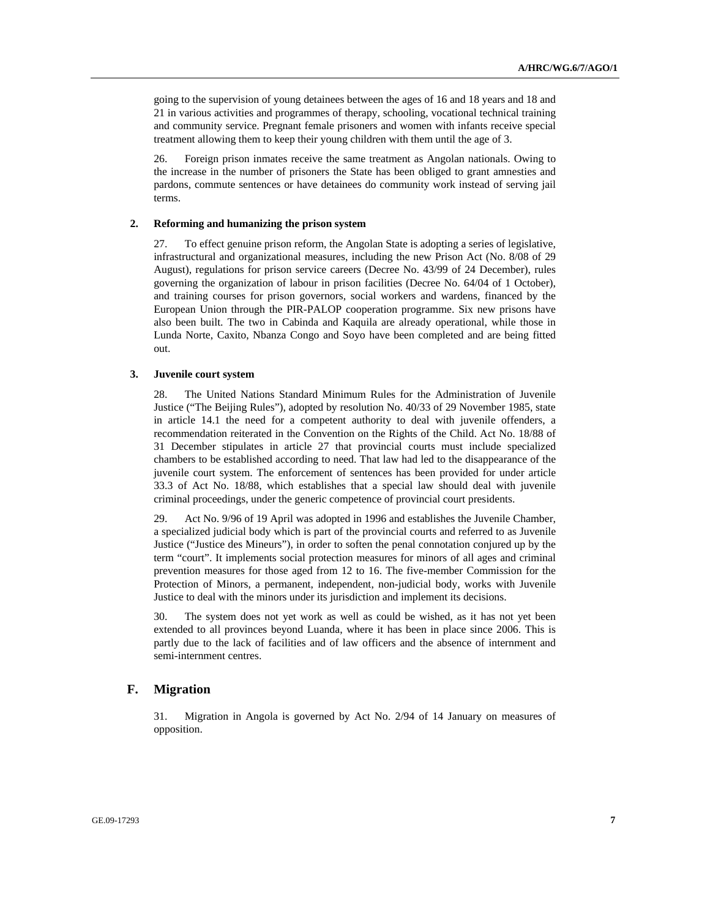going to the supervision of young detainees between the ages of 16 and 18 years and 18 and 21 in various activities and programmes of therapy, schooling, vocational technical training and community service. Pregnant female prisoners and women with infants receive special treatment allowing them to keep their young children with them until the age of 3.

26. Foreign prison inmates receive the same treatment as Angolan nationals. Owing to the increase in the number of prisoners the State has been obliged to grant amnesties and pardons, commute sentences or have detainees do community work instead of serving jail terms.

# **2. Reforming and humanizing the prison system**

27. To effect genuine prison reform, the Angolan State is adopting a series of legislative, infrastructural and organizational measures, including the new Prison Act (No. 8/08 of 29 August), regulations for prison service careers (Decree No. 43/99 of 24 December), rules governing the organization of labour in prison facilities (Decree No. 64/04 of 1 October), and training courses for prison governors, social workers and wardens, financed by the European Union through the PIR-PALOP cooperation programme. Six new prisons have also been built. The two in Cabinda and Kaquila are already operational, while those in Lunda Norte, Caxito, Nbanza Congo and Soyo have been completed and are being fitted out.

## **3. Juvenile court system**

28. The United Nations Standard Minimum Rules for the Administration of Juvenile Justice ("The Beijing Rules"), adopted by resolution No. 40/33 of 29 November 1985, state in article 14.1 the need for a competent authority to deal with juvenile offenders, a recommendation reiterated in the Convention on the Rights of the Child. Act No. 18/88 of 31 December stipulates in article 27 that provincial courts must include specialized chambers to be established according to need. That law had led to the disappearance of the juvenile court system. The enforcement of sentences has been provided for under article 33.3 of Act No. 18/88, which establishes that a special law should deal with juvenile criminal proceedings, under the generic competence of provincial court presidents.

29. Act No. 9/96 of 19 April was adopted in 1996 and establishes the Juvenile Chamber, a specialized judicial body which is part of the provincial courts and referred to as Juvenile Justice ("Justice des Mineurs"), in order to soften the penal connotation conjured up by the term "court". It implements social protection measures for minors of all ages and criminal prevention measures for those aged from 12 to 16. The five-member Commission for the Protection of Minors, a permanent, independent, non-judicial body, works with Juvenile Justice to deal with the minors under its jurisdiction and implement its decisions.

30. The system does not yet work as well as could be wished, as it has not yet been extended to all provinces beyond Luanda, where it has been in place since 2006. This is partly due to the lack of facilities and of law officers and the absence of internment and semi-internment centres.

# **F. Migration**

31. Migration in Angola is governed by Act No. 2/94 of 14 January on measures of opposition.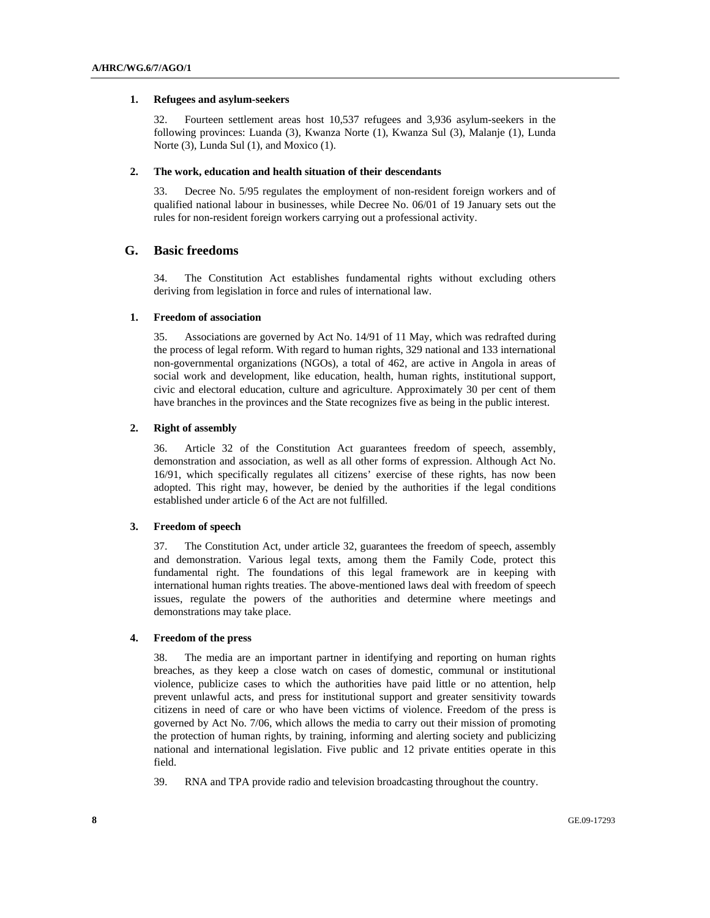#### **1. Refugees and asylum-seekers**

32. Fourteen settlement areas host 10,537 refugees and 3,936 asylum-seekers in the following provinces: Luanda (3), Kwanza Norte (1), Kwanza Sul (3), Malanje (1), Lunda Norte (3), Lunda Sul (1), and Moxico (1).

#### **2. The work, education and health situation of their descendants**

33. Decree No. 5/95 regulates the employment of non-resident foreign workers and of qualified national labour in businesses, while Decree No. 06/01 of 19 January sets out the rules for non-resident foreign workers carrying out a professional activity.

# **G. Basic freedoms**

34. The Constitution Act establishes fundamental rights without excluding others deriving from legislation in force and rules of international law.

## **1. Freedom of association**

35. Associations are governed by Act No. 14/91 of 11 May, which was redrafted during the process of legal reform. With regard to human rights, 329 national and 133 international non-governmental organizations (NGOs), a total of 462, are active in Angola in areas of social work and development, like education, health, human rights, institutional support, civic and electoral education, culture and agriculture. Approximately 30 per cent of them have branches in the provinces and the State recognizes five as being in the public interest.

# **2. Right of assembly**

36. Article 32 of the Constitution Act guarantees freedom of speech, assembly, demonstration and association, as well as all other forms of expression. Although Act No. 16/91, which specifically regulates all citizens' exercise of these rights, has now been adopted. This right may, however, be denied by the authorities if the legal conditions established under article 6 of the Act are not fulfilled.

# **3. Freedom of speech**

37. The Constitution Act, under article 32, guarantees the freedom of speech, assembly and demonstration. Various legal texts, among them the Family Code, protect this fundamental right. The foundations of this legal framework are in keeping with international human rights treaties. The above-mentioned laws deal with freedom of speech issues, regulate the powers of the authorities and determine where meetings and demonstrations may take place.

# **4. Freedom of the press**

38. The media are an important partner in identifying and reporting on human rights breaches, as they keep a close watch on cases of domestic, communal or institutional violence, publicize cases to which the authorities have paid little or no attention, help prevent unlawful acts, and press for institutional support and greater sensitivity towards citizens in need of care or who have been victims of violence. Freedom of the press is governed by Act No. 7/06, which allows the media to carry out their mission of promoting the protection of human rights, by training, informing and alerting society and publicizing national and international legislation. Five public and 12 private entities operate in this field.

39. RNA and TPA provide radio and television broadcasting throughout the country.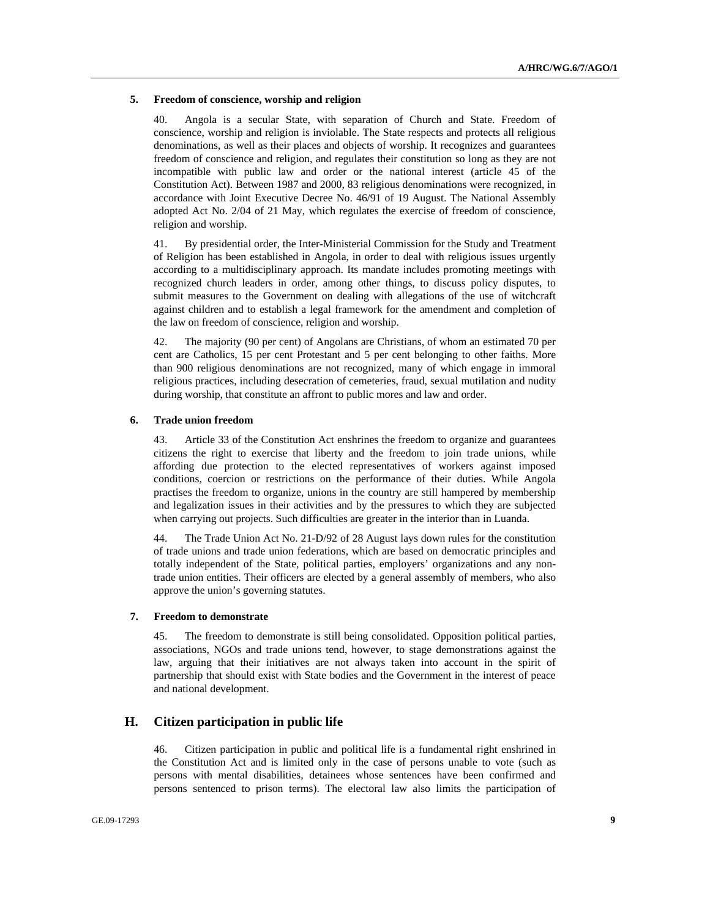#### **5. Freedom of conscience, worship and religion**

40. Angola is a secular State, with separation of Church and State. Freedom of conscience, worship and religion is inviolable. The State respects and protects all religious denominations, as well as their places and objects of worship. It recognizes and guarantees freedom of conscience and religion, and regulates their constitution so long as they are not incompatible with public law and order or the national interest (article 45 of the Constitution Act). Between 1987 and 2000, 83 religious denominations were recognized, in accordance with Joint Executive Decree No. 46/91 of 19 August. The National Assembly adopted Act No. 2/04 of 21 May, which regulates the exercise of freedom of conscience, religion and worship.

41. By presidential order, the Inter-Ministerial Commission for the Study and Treatment of Religion has been established in Angola, in order to deal with religious issues urgently according to a multidisciplinary approach. Its mandate includes promoting meetings with recognized church leaders in order, among other things, to discuss policy disputes, to submit measures to the Government on dealing with allegations of the use of witchcraft against children and to establish a legal framework for the amendment and completion of the law on freedom of conscience, religion and worship.

42. The majority (90 per cent) of Angolans are Christians, of whom an estimated 70 per cent are Catholics, 15 per cent Protestant and 5 per cent belonging to other faiths. More than 900 religious denominations are not recognized, many of which engage in immoral religious practices, including desecration of cemeteries, fraud, sexual mutilation and nudity during worship, that constitute an affront to public mores and law and order.

### **6. Trade union freedom**

43. Article 33 of the Constitution Act enshrines the freedom to organize and guarantees citizens the right to exercise that liberty and the freedom to join trade unions, while affording due protection to the elected representatives of workers against imposed conditions, coercion or restrictions on the performance of their duties. While Angola practises the freedom to organize, unions in the country are still hampered by membership and legalization issues in their activities and by the pressures to which they are subjected when carrying out projects. Such difficulties are greater in the interior than in Luanda.

44. The Trade Union Act No. 21-D/92 of 28 August lays down rules for the constitution of trade unions and trade union federations, which are based on democratic principles and totally independent of the State, political parties, employers' organizations and any nontrade union entities. Their officers are elected by a general assembly of members, who also approve the union's governing statutes.

### **7. Freedom to demonstrate**

45. The freedom to demonstrate is still being consolidated. Opposition political parties, associations, NGOs and trade unions tend, however, to stage demonstrations against the law, arguing that their initiatives are not always taken into account in the spirit of partnership that should exist with State bodies and the Government in the interest of peace and national development.

# **H. Citizen participation in public life**

46. Citizen participation in public and political life is a fundamental right enshrined in the Constitution Act and is limited only in the case of persons unable to vote (such as persons with mental disabilities, detainees whose sentences have been confirmed and persons sentenced to prison terms). The electoral law also limits the participation of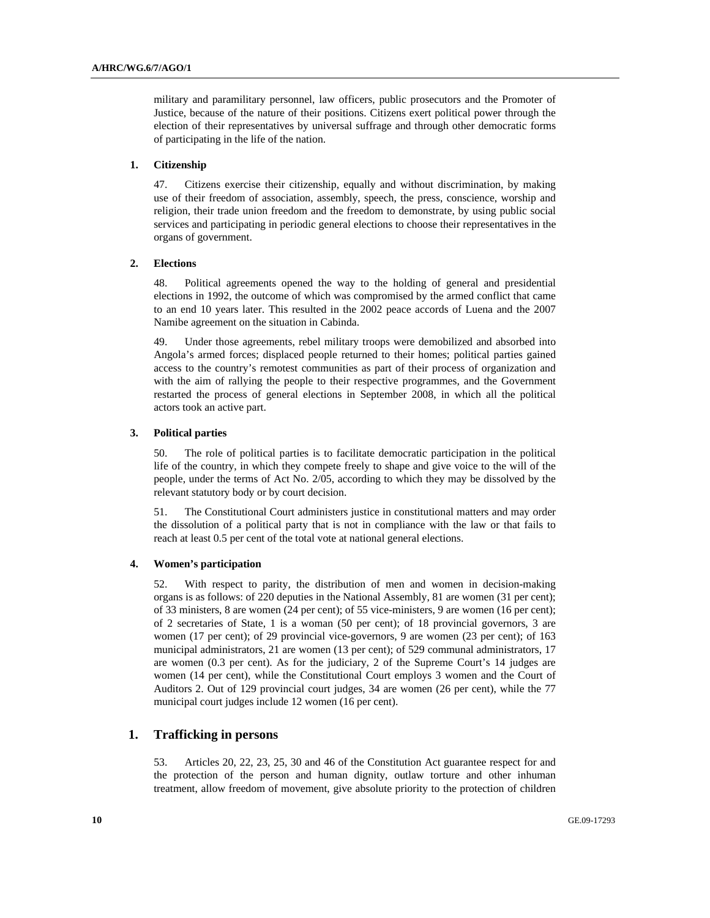military and paramilitary personnel, law officers, public prosecutors and the Promoter of Justice, because of the nature of their positions. Citizens exert political power through the election of their representatives by universal suffrage and through other democratic forms of participating in the life of the nation.

#### **1. Citizenship**

47. Citizens exercise their citizenship, equally and without discrimination, by making use of their freedom of association, assembly, speech, the press, conscience, worship and religion, their trade union freedom and the freedom to demonstrate, by using public social services and participating in periodic general elections to choose their representatives in the organs of government.

# **2. Elections**

48. Political agreements opened the way to the holding of general and presidential elections in 1992, the outcome of which was compromised by the armed conflict that came to an end 10 years later. This resulted in the 2002 peace accords of Luena and the 2007 Namibe agreement on the situation in Cabinda.

49. Under those agreements, rebel military troops were demobilized and absorbed into Angola's armed forces; displaced people returned to their homes; political parties gained access to the country's remotest communities as part of their process of organization and with the aim of rallying the people to their respective programmes, and the Government restarted the process of general elections in September 2008, in which all the political actors took an active part.

# **3. Political parties**

50. The role of political parties is to facilitate democratic participation in the political life of the country, in which they compete freely to shape and give voice to the will of the people, under the terms of Act No. 2/05, according to which they may be dissolved by the relevant statutory body or by court decision.

51. The Constitutional Court administers justice in constitutional matters and may order the dissolution of a political party that is not in compliance with the law or that fails to reach at least 0.5 per cent of the total vote at national general elections.

# **4. Women's participation**

52. With respect to parity, the distribution of men and women in decision-making organs is as follows: of 220 deputies in the National Assembly, 81 are women (31 per cent); of 33 ministers, 8 are women (24 per cent); of 55 vice-ministers, 9 are women (16 per cent); of 2 secretaries of State, 1 is a woman (50 per cent); of 18 provincial governors, 3 are women (17 per cent); of 29 provincial vice-governors, 9 are women (23 per cent); of 163 municipal administrators, 21 are women (13 per cent); of 529 communal administrators, 17 are women (0.3 per cent). As for the judiciary, 2 of the Supreme Court's 14 judges are women (14 per cent), while the Constitutional Court employs 3 women and the Court of Auditors 2. Out of 129 provincial court judges, 34 are women (26 per cent), while the 77 municipal court judges include 12 women (16 per cent).

# **1. Trafficking in persons**

53. Articles 20, 22, 23, 25, 30 and 46 of the Constitution Act guarantee respect for and the protection of the person and human dignity, outlaw torture and other inhuman treatment, allow freedom of movement, give absolute priority to the protection of children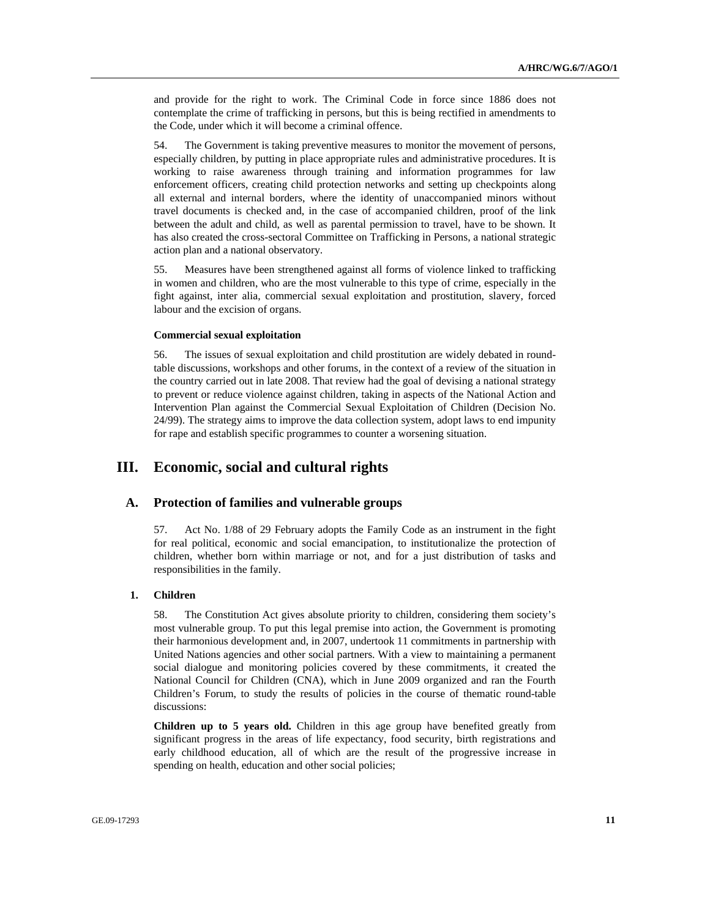and provide for the right to work. The Criminal Code in force since 1886 does not contemplate the crime of trafficking in persons, but this is being rectified in amendments to the Code, under which it will become a criminal offence.

54. The Government is taking preventive measures to monitor the movement of persons, especially children, by putting in place appropriate rules and administrative procedures. It is working to raise awareness through training and information programmes for law enforcement officers, creating child protection networks and setting up checkpoints along all external and internal borders, where the identity of unaccompanied minors without travel documents is checked and, in the case of accompanied children, proof of the link between the adult and child, as well as parental permission to travel, have to be shown. It has also created the cross-sectoral Committee on Trafficking in Persons, a national strategic action plan and a national observatory.

55. Measures have been strengthened against all forms of violence linked to trafficking in women and children, who are the most vulnerable to this type of crime, especially in the fight against, inter alia, commercial sexual exploitation and prostitution, slavery, forced labour and the excision of organs.

#### **Commercial sexual exploitation**

56. The issues of sexual exploitation and child prostitution are widely debated in roundtable discussions, workshops and other forums, in the context of a review of the situation in the country carried out in late 2008. That review had the goal of devising a national strategy to prevent or reduce violence against children, taking in aspects of the National Action and Intervention Plan against the Commercial Sexual Exploitation of Children (Decision No. 24/99). The strategy aims to improve the data collection system, adopt laws to end impunity for rape and establish specific programmes to counter a worsening situation.

# **III. Economic, social and cultural rights**

# **A. Protection of families and vulnerable groups**

57. Act No. 1/88 of 29 February adopts the Family Code as an instrument in the fight for real political, economic and social emancipation, to institutionalize the protection of children, whether born within marriage or not, and for a just distribution of tasks and responsibilities in the family.

#### **1. Children**

58. The Constitution Act gives absolute priority to children, considering them society's most vulnerable group. To put this legal premise into action, the Government is promoting their harmonious development and, in 2007, undertook 11 commitments in partnership with United Nations agencies and other social partners. With a view to maintaining a permanent social dialogue and monitoring policies covered by these commitments, it created the National Council for Children (CNA), which in June 2009 organized and ran the Fourth Children's Forum, to study the results of policies in the course of thematic round-table discussions:

**Children up to 5 years old.** Children in this age group have benefited greatly from significant progress in the areas of life expectancy, food security, birth registrations and early childhood education, all of which are the result of the progressive increase in spending on health, education and other social policies;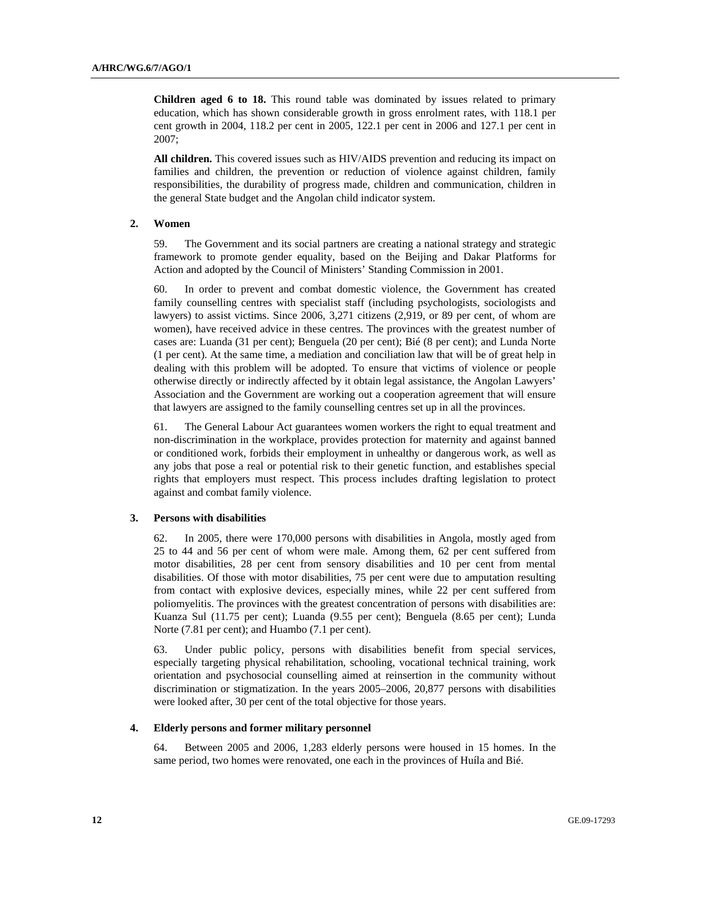**Children aged 6 to 18.** This round table was dominated by issues related to primary education, which has shown considerable growth in gross enrolment rates, with 118.1 per cent growth in 2004, 118.2 per cent in 2005, 122.1 per cent in 2006 and 127.1 per cent in 2007;

**All children.** This covered issues such as HIV/AIDS prevention and reducing its impact on families and children, the prevention or reduction of violence against children, family responsibilities, the durability of progress made, children and communication, children in the general State budget and the Angolan child indicator system.

# **2. Women**

59. The Government and its social partners are creating a national strategy and strategic framework to promote gender equality, based on the Beijing and Dakar Platforms for Action and adopted by the Council of Ministers' Standing Commission in 2001.

60. In order to prevent and combat domestic violence, the Government has created family counselling centres with specialist staff (including psychologists, sociologists and lawyers) to assist victims. Since 2006, 3,271 citizens (2,919, or 89 per cent, of whom are women), have received advice in these centres. The provinces with the greatest number of cases are: Luanda (31 per cent); Benguela (20 per cent); Bié (8 per cent); and Lunda Norte (1 per cent). At the same time, a mediation and conciliation law that will be of great help in dealing with this problem will be adopted. To ensure that victims of violence or people otherwise directly or indirectly affected by it obtain legal assistance, the Angolan Lawyers' Association and the Government are working out a cooperation agreement that will ensure that lawyers are assigned to the family counselling centres set up in all the provinces.

61. The General Labour Act guarantees women workers the right to equal treatment and non-discrimination in the workplace, provides protection for maternity and against banned or conditioned work, forbids their employment in unhealthy or dangerous work, as well as any jobs that pose a real or potential risk to their genetic function, and establishes special rights that employers must respect. This process includes drafting legislation to protect against and combat family violence.

## **3. Persons with disabilities**

62. In 2005, there were 170,000 persons with disabilities in Angola, mostly aged from 25 to 44 and 56 per cent of whom were male. Among them, 62 per cent suffered from motor disabilities, 28 per cent from sensory disabilities and 10 per cent from mental disabilities. Of those with motor disabilities, 75 per cent were due to amputation resulting from contact with explosive devices, especially mines, while 22 per cent suffered from poliomyelitis. The provinces with the greatest concentration of persons with disabilities are: Kuanza Sul (11.75 per cent); Luanda (9.55 per cent); Benguela (8.65 per cent); Lunda Norte (7.81 per cent); and Huambo (7.1 per cent).

63. Under public policy, persons with disabilities benefit from special services, especially targeting physical rehabilitation, schooling, vocational technical training, work orientation and psychosocial counselling aimed at reinsertion in the community without discrimination or stigmatization. In the years 2005–2006, 20,877 persons with disabilities were looked after, 30 per cent of the total objective for those years.

#### **4. Elderly persons and former military personnel**

64. Between 2005 and 2006, 1,283 elderly persons were housed in 15 homes. In the same period, two homes were renovated, one each in the provinces of Huíla and Bié.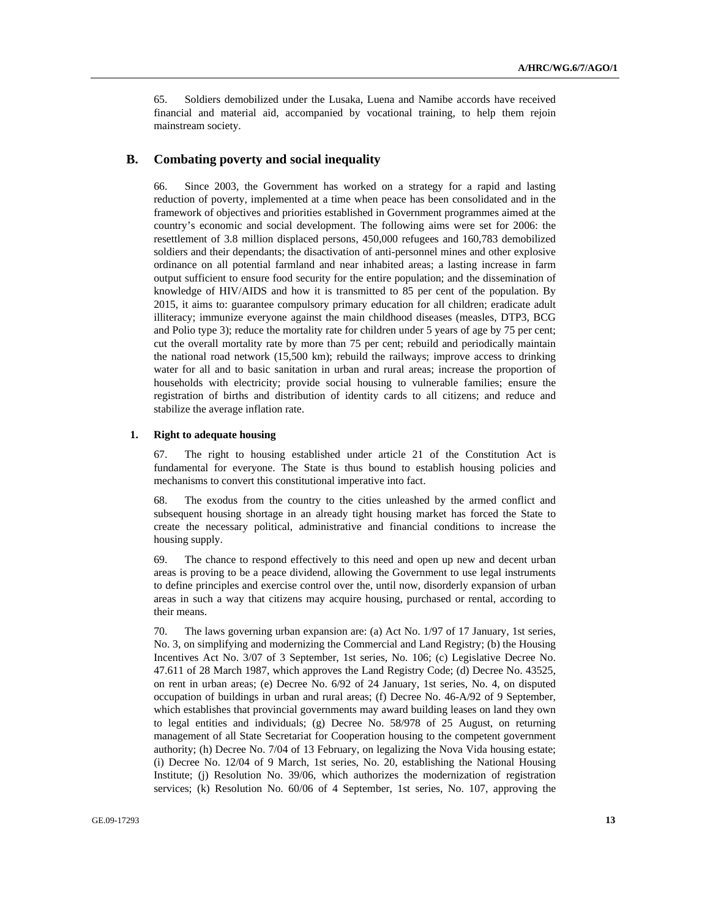65. Soldiers demobilized under the Lusaka, Luena and Namibe accords have received financial and material aid, accompanied by vocational training, to help them rejoin mainstream society.

# **B. Combating poverty and social inequality**

66. Since 2003, the Government has worked on a strategy for a rapid and lasting reduction of poverty, implemented at a time when peace has been consolidated and in the framework of objectives and priorities established in Government programmes aimed at the country's economic and social development. The following aims were set for 2006: the resettlement of 3.8 million displaced persons, 450,000 refugees and 160,783 demobilized soldiers and their dependants; the disactivation of anti-personnel mines and other explosive ordinance on all potential farmland and near inhabited areas; a lasting increase in farm output sufficient to ensure food security for the entire population; and the dissemination of knowledge of HIV/AIDS and how it is transmitted to 85 per cent of the population. By 2015, it aims to: guarantee compulsory primary education for all children; eradicate adult illiteracy; immunize everyone against the main childhood diseases (measles, DTP3, BCG and Polio type 3); reduce the mortality rate for children under 5 years of age by 75 per cent; cut the overall mortality rate by more than 75 per cent; rebuild and periodically maintain the national road network (15,500 km); rebuild the railways; improve access to drinking water for all and to basic sanitation in urban and rural areas; increase the proportion of households with electricity; provide social housing to vulnerable families; ensure the registration of births and distribution of identity cards to all citizens; and reduce and stabilize the average inflation rate.

# **1. Right to adequate housing**

67. The right to housing established under article 21 of the Constitution Act is fundamental for everyone. The State is thus bound to establish housing policies and mechanisms to convert this constitutional imperative into fact.

68. The exodus from the country to the cities unleashed by the armed conflict and subsequent housing shortage in an already tight housing market has forced the State to create the necessary political, administrative and financial conditions to increase the housing supply.

69. The chance to respond effectively to this need and open up new and decent urban areas is proving to be a peace dividend, allowing the Government to use legal instruments to define principles and exercise control over the, until now, disorderly expansion of urban areas in such a way that citizens may acquire housing, purchased or rental, according to their means.

70. The laws governing urban expansion are: (a) Act No. 1/97 of 17 January, 1st series, No. 3, on simplifying and modernizing the Commercial and Land Registry; (b) the Housing Incentives Act No. 3/07 of 3 September, 1st series, No. 106; (c) Legislative Decree No. 47.611 of 28 March 1987, which approves the Land Registry Code; (d) Decree No. 43525, on rent in urban areas; (e) Decree No. 6/92 of 24 January, 1st series, No. 4, on disputed occupation of buildings in urban and rural areas; (f) Decree No. 46-A/92 of 9 September, which establishes that provincial governments may award building leases on land they own to legal entities and individuals; (g) Decree No. 58/978 of 25 August, on returning management of all State Secretariat for Cooperation housing to the competent government authority; (h) Decree No. 7/04 of 13 February, on legalizing the Nova Vida housing estate; (i) Decree No. 12/04 of 9 March, 1st series, No. 20, establishing the National Housing Institute; (j) Resolution No. 39/06, which authorizes the modernization of registration services; (k) Resolution No. 60/06 of 4 September, 1st series, No. 107, approving the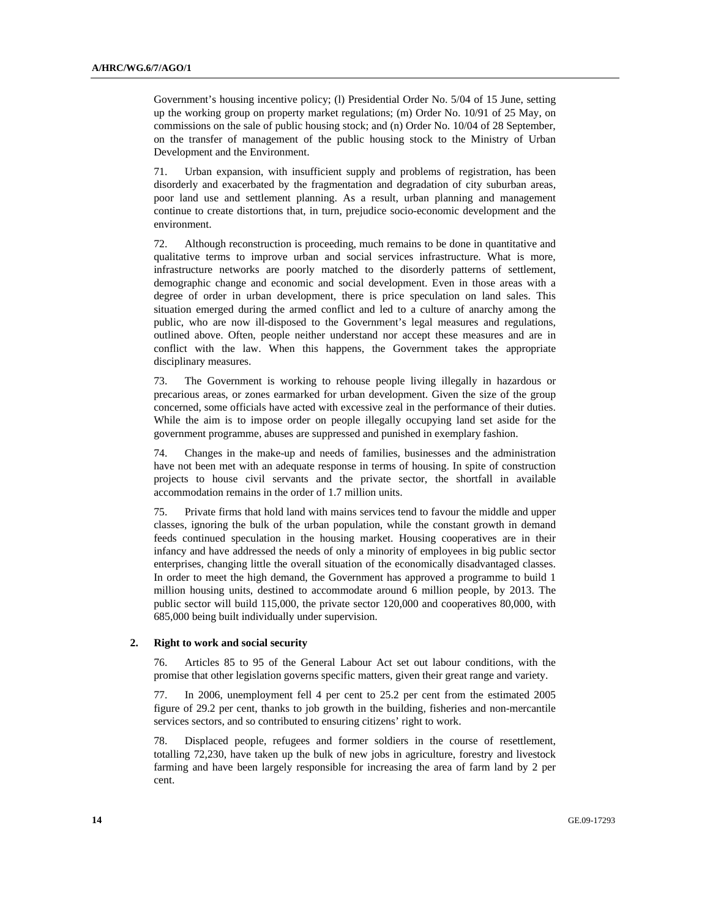Government's housing incentive policy; (1) Presidential Order No. 5/04 of 15 June, setting up the working group on property market regulations; (m) Order No. 10/91 of 25 May, on commissions on the sale of public housing stock; and (n) Order No. 10/04 of 28 September, on the transfer of management of the public housing stock to the Ministry of Urban Development and the Environment.

71. Urban expansion, with insufficient supply and problems of registration, has been disorderly and exacerbated by the fragmentation and degradation of city suburban areas, poor land use and settlement planning. As a result, urban planning and management continue to create distortions that, in turn, prejudice socio-economic development and the environment.

72. Although reconstruction is proceeding, much remains to be done in quantitative and qualitative terms to improve urban and social services infrastructure. What is more, infrastructure networks are poorly matched to the disorderly patterns of settlement, demographic change and economic and social development. Even in those areas with a degree of order in urban development, there is price speculation on land sales. This situation emerged during the armed conflict and led to a culture of anarchy among the public, who are now ill-disposed to the Government's legal measures and regulations, outlined above. Often, people neither understand nor accept these measures and are in conflict with the law. When this happens, the Government takes the appropriate disciplinary measures.

73. The Government is working to rehouse people living illegally in hazardous or precarious areas, or zones earmarked for urban development. Given the size of the group concerned, some officials have acted with excessive zeal in the performance of their duties. While the aim is to impose order on people illegally occupying land set aside for the government programme, abuses are suppressed and punished in exemplary fashion.

74. Changes in the make-up and needs of families, businesses and the administration have not been met with an adequate response in terms of housing. In spite of construction projects to house civil servants and the private sector, the shortfall in available accommodation remains in the order of 1.7 million units.

75. Private firms that hold land with mains services tend to favour the middle and upper classes, ignoring the bulk of the urban population, while the constant growth in demand feeds continued speculation in the housing market. Housing cooperatives are in their infancy and have addressed the needs of only a minority of employees in big public sector enterprises, changing little the overall situation of the economically disadvantaged classes. In order to meet the high demand, the Government has approved a programme to build 1 million housing units, destined to accommodate around 6 million people, by 2013. The public sector will build 115,000, the private sector 120,000 and cooperatives 80,000, with 685,000 being built individually under supervision.

### **2. Right to work and social security**

76. Articles 85 to 95 of the General Labour Act set out labour conditions, with the promise that other legislation governs specific matters, given their great range and variety.

77. In 2006, unemployment fell 4 per cent to 25.2 per cent from the estimated 2005 figure of 29.2 per cent, thanks to job growth in the building, fisheries and non-mercantile services sectors, and so contributed to ensuring citizens' right to work.

78. Displaced people, refugees and former soldiers in the course of resettlement, totalling 72,230, have taken up the bulk of new jobs in agriculture, forestry and livestock farming and have been largely responsible for increasing the area of farm land by 2 per cent.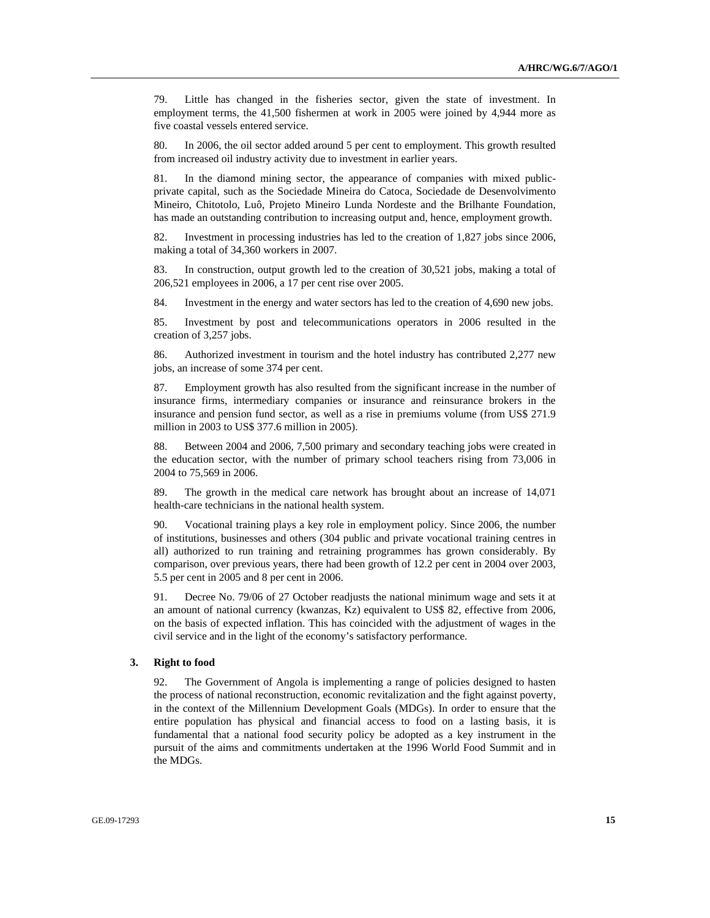79. Little has changed in the fisheries sector, given the state of investment. In employment terms, the 41,500 fishermen at work in 2005 were joined by 4,944 more as five coastal vessels entered service.

80. In 2006, the oil sector added around 5 per cent to employment. This growth resulted from increased oil industry activity due to investment in earlier years.

81. In the diamond mining sector, the appearance of companies with mixed publicprivate capital, such as the Sociedade Mineira do Catoca, Sociedade de Desenvolvimento Mineiro, Chitotolo, Luô, Projeto Mineiro Lunda Nordeste and the Brilhante Foundation, has made an outstanding contribution to increasing output and, hence, employment growth.

82. Investment in processing industries has led to the creation of 1,827 jobs since 2006, making a total of 34,360 workers in 2007.

83. In construction, output growth led to the creation of 30,521 jobs, making a total of 206,521 employees in 2006, a 17 per cent rise over 2005.

84. Investment in the energy and water sectors has led to the creation of 4,690 new jobs.

85. Investment by post and telecommunications operators in 2006 resulted in the creation of 3,257 jobs.

86. Authorized investment in tourism and the hotel industry has contributed 2,277 new jobs, an increase of some 374 per cent.

87. Employment growth has also resulted from the significant increase in the number of insurance firms, intermediary companies or insurance and reinsurance brokers in the insurance and pension fund sector, as well as a rise in premiums volume (from US\$ 271.9 million in 2003 to US\$ 377.6 million in 2005).

88. Between 2004 and 2006, 7,500 primary and secondary teaching jobs were created in the education sector, with the number of primary school teachers rising from 73,006 in 2004 to 75,569 in 2006.

89. The growth in the medical care network has brought about an increase of 14,071 health-care technicians in the national health system.

90. Vocational training plays a key role in employment policy. Since 2006, the number of institutions, businesses and others (304 public and private vocational training centres in all) authorized to run training and retraining programmes has grown considerably. By comparison, over previous years, there had been growth of 12.2 per cent in 2004 over 2003, 5.5 per cent in 2005 and 8 per cent in 2006.

91. Decree No. 79/06 of 27 October readjusts the national minimum wage and sets it at an amount of national currency (kwanzas, Kz) equivalent to US\$ 82, effective from 2006, on the basis of expected inflation. This has coincided with the adjustment of wages in the civil service and in the light of the economy's satisfactory performance.

#### **3. Right to food**

92. The Government of Angola is implementing a range of policies designed to hasten the process of national reconstruction, economic revitalization and the fight against poverty, in the context of the Millennium Development Goals (MDGs). In order to ensure that the entire population has physical and financial access to food on a lasting basis, it is fundamental that a national food security policy be adopted as a key instrument in the pursuit of the aims and commitments undertaken at the 1996 World Food Summit and in the MDGs.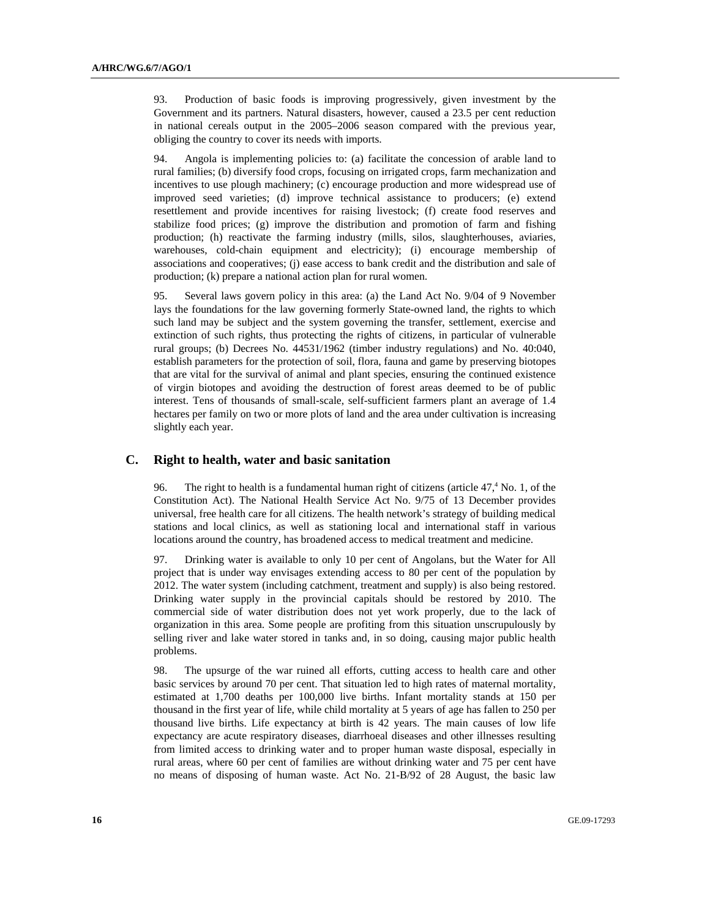93. Production of basic foods is improving progressively, given investment by the Government and its partners. Natural disasters, however, caused a 23.5 per cent reduction in national cereals output in the 2005–2006 season compared with the previous year, obliging the country to cover its needs with imports.

94. Angola is implementing policies to: (a) facilitate the concession of arable land to rural families; (b) diversify food crops, focusing on irrigated crops, farm mechanization and incentives to use plough machinery; (c) encourage production and more widespread use of improved seed varieties; (d) improve technical assistance to producers; (e) extend resettlement and provide incentives for raising livestock; (f) create food reserves and stabilize food prices; (g) improve the distribution and promotion of farm and fishing production; (h) reactivate the farming industry (mills, silos, slaughterhouses, aviaries, warehouses, cold-chain equipment and electricity); (i) encourage membership of associations and cooperatives; (j) ease access to bank credit and the distribution and sale of production; (k) prepare a national action plan for rural women.

95. Several laws govern policy in this area: (a) the Land Act No. 9/04 of 9 November lays the foundations for the law governing formerly State-owned land, the rights to which such land may be subject and the system governing the transfer, settlement, exercise and extinction of such rights, thus protecting the rights of citizens, in particular of vulnerable rural groups; (b) Decrees No. 44531/1962 (timber industry regulations) and No. 40:040, establish parameters for the protection of soil, flora, fauna and game by preserving biotopes that are vital for the survival of animal and plant species, ensuring the continued existence of virgin biotopes and avoiding the destruction of forest areas deemed to be of public interest. Tens of thousands of small-scale, self-sufficient farmers plant an average of 1.4 hectares per family on two or more plots of land and the area under cultivation is increasing slightly each year.

# **C. Right to health, water and basic sanitation**

96. The right to health is a fundamental human right of citizens (article  $47<sup>4</sup>$  No. 1, of the Constitution Act). The National Health Service Act No. 9/75 of 13 December provides universal, free health care for all citizens. The health network's strategy of building medical stations and local clinics, as well as stationing local and international staff in various locations around the country, has broadened access to medical treatment and medicine.

97. Drinking water is available to only 10 per cent of Angolans, but the Water for All project that is under way envisages extending access to 80 per cent of the population by 2012. The water system (including catchment, treatment and supply) is also being restored. Drinking water supply in the provincial capitals should be restored by 2010. The commercial side of water distribution does not yet work properly, due to the lack of organization in this area. Some people are profiting from this situation unscrupulously by selling river and lake water stored in tanks and, in so doing, causing major public health problems.

98. The upsurge of the war ruined all efforts, cutting access to health care and other basic services by around 70 per cent. That situation led to high rates of maternal mortality, estimated at 1,700 deaths per 100,000 live births. Infant mortality stands at 150 per thousand in the first year of life, while child mortality at 5 years of age has fallen to 250 per thousand live births. Life expectancy at birth is 42 years. The main causes of low life expectancy are acute respiratory diseases, diarrhoeal diseases and other illnesses resulting from limited access to drinking water and to proper human waste disposal, especially in rural areas, where 60 per cent of families are without drinking water and 75 per cent have no means of disposing of human waste. Act No. 21-B/92 of 28 August, the basic law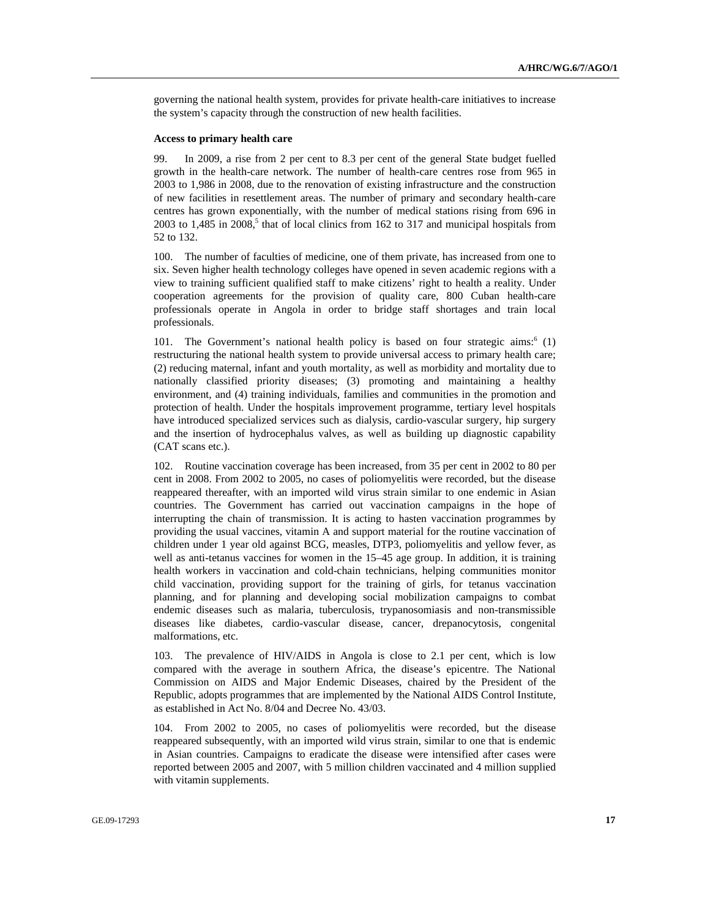governing the national health system, provides for private health-care initiatives to increase the system's capacity through the construction of new health facilities.

#### **Access to primary health care**

99. In 2009, a rise from 2 per cent to 8.3 per cent of the general State budget fuelled growth in the health-care network. The number of health-care centres rose from 965 in 2003 to 1,986 in 2008, due to the renovation of existing infrastructure and the construction of new facilities in resettlement areas. The number of primary and secondary health-care centres has grown exponentially, with the number of medical stations rising from 696 in  $2003$  to 1,485 in  $2008$ ,<sup>5</sup> that of local clinics from 162 to 317 and municipal hospitals from 52 to 132.

100. The number of faculties of medicine, one of them private, has increased from one to six. Seven higher health technology colleges have opened in seven academic regions with a view to training sufficient qualified staff to make citizens' right to health a reality. Under cooperation agreements for the provision of quality care, 800 Cuban health-care professionals operate in Angola in order to bridge staff shortages and train local professionals.

101. The Government's national health policy is based on four strategic aims:<sup>6</sup> (1) restructuring the national health system to provide universal access to primary health care; (2) reducing maternal, infant and youth mortality, as well as morbidity and mortality due to nationally classified priority diseases; (3) promoting and maintaining a healthy environment, and (4) training individuals, families and communities in the promotion and protection of health. Under the hospitals improvement programme, tertiary level hospitals have introduced specialized services such as dialysis, cardio-vascular surgery, hip surgery and the insertion of hydrocephalus valves, as well as building up diagnostic capability (CAT scans etc.).

102. Routine vaccination coverage has been increased, from 35 per cent in 2002 to 80 per cent in 2008. From 2002 to 2005, no cases of poliomyelitis were recorded, but the disease reappeared thereafter, with an imported wild virus strain similar to one endemic in Asian countries. The Government has carried out vaccination campaigns in the hope of interrupting the chain of transmission. It is acting to hasten vaccination programmes by providing the usual vaccines, vitamin A and support material for the routine vaccination of children under 1 year old against BCG, measles, DTP3, poliomyelitis and yellow fever, as well as anti-tetanus vaccines for women in the 15–45 age group. In addition, it is training health workers in vaccination and cold-chain technicians, helping communities monitor child vaccination, providing support for the training of girls, for tetanus vaccination planning, and for planning and developing social mobilization campaigns to combat endemic diseases such as malaria, tuberculosis, trypanosomiasis and non-transmissible diseases like diabetes, cardio-vascular disease, cancer, drepanocytosis, congenital malformations, etc.

103. The prevalence of HIV/AIDS in Angola is close to 2.1 per cent, which is low compared with the average in southern Africa, the disease's epicentre. The National Commission on AIDS and Major Endemic Diseases, chaired by the President of the Republic, adopts programmes that are implemented by the National AIDS Control Institute, as established in Act No. 8/04 and Decree No. 43/03.

104. From 2002 to 2005, no cases of poliomyelitis were recorded, but the disease reappeared subsequently, with an imported wild virus strain, similar to one that is endemic in Asian countries. Campaigns to eradicate the disease were intensified after cases were reported between 2005 and 2007, with 5 million children vaccinated and 4 million supplied with vitamin supplements.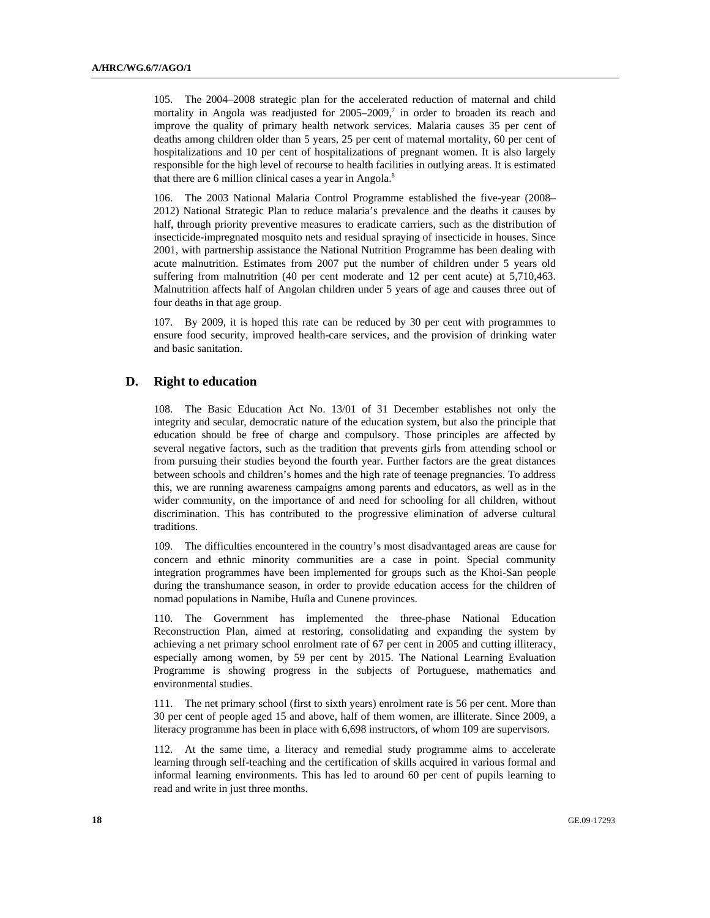105. The 2004–2008 strategic plan for the accelerated reduction of maternal and child mortality in Angola was readjusted for  $2005-2009$ ,<sup>7</sup> in order to broaden its reach and improve the quality of primary health network services. Malaria causes 35 per cent of deaths among children older than 5 years, 25 per cent of maternal mortality, 60 per cent of hospitalizations and 10 per cent of hospitalizations of pregnant women. It is also largely responsible for the high level of recourse to health facilities in outlying areas. It is estimated that there are 6 million clinical cases a year in Angola. $8$ 

106. The 2003 National Malaria Control Programme established the five-year (2008– 2012) National Strategic Plan to reduce malaria's prevalence and the deaths it causes by half, through priority preventive measures to eradicate carriers, such as the distribution of insecticide-impregnated mosquito nets and residual spraying of insecticide in houses. Since 2001, with partnership assistance the National Nutrition Programme has been dealing with acute malnutrition. Estimates from 2007 put the number of children under 5 years old suffering from malnutrition (40 per cent moderate and 12 per cent acute) at 5,710,463. Malnutrition affects half of Angolan children under 5 years of age and causes three out of four deaths in that age group.

107. By 2009, it is hoped this rate can be reduced by 30 per cent with programmes to ensure food security, improved health-care services, and the provision of drinking water and basic sanitation.

# **D. Right to education**

108. The Basic Education Act No. 13/01 of 31 December establishes not only the integrity and secular, democratic nature of the education system, but also the principle that education should be free of charge and compulsory. Those principles are affected by several negative factors, such as the tradition that prevents girls from attending school or from pursuing their studies beyond the fourth year. Further factors are the great distances between schools and children's homes and the high rate of teenage pregnancies. To address this, we are running awareness campaigns among parents and educators, as well as in the wider community, on the importance of and need for schooling for all children, without discrimination. This has contributed to the progressive elimination of adverse cultural traditions.

109. The difficulties encountered in the country's most disadvantaged areas are cause for concern and ethnic minority communities are a case in point. Special community integration programmes have been implemented for groups such as the Khoi-San people during the transhumance season, in order to provide education access for the children of nomad populations in Namibe, Huíla and Cunene provinces.

110. The Government has implemented the three-phase National Education Reconstruction Plan, aimed at restoring, consolidating and expanding the system by achieving a net primary school enrolment rate of 67 per cent in 2005 and cutting illiteracy, especially among women, by 59 per cent by 2015. The National Learning Evaluation Programme is showing progress in the subjects of Portuguese, mathematics and environmental studies.

111. The net primary school (first to sixth years) enrolment rate is 56 per cent. More than 30 per cent of people aged 15 and above, half of them women, are illiterate. Since 2009, a literacy programme has been in place with 6,698 instructors, of whom 109 are supervisors.

112. At the same time, a literacy and remedial study programme aims to accelerate learning through self-teaching and the certification of skills acquired in various formal and informal learning environments. This has led to around 60 per cent of pupils learning to read and write in just three months.